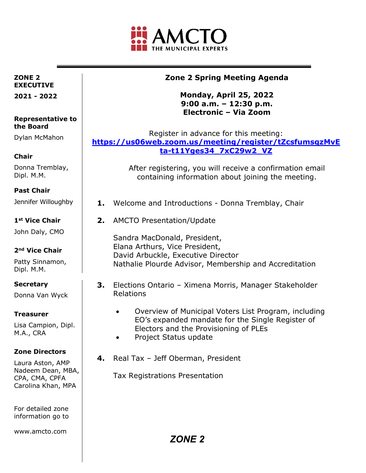

### **ZONE 2 EXECUTIVE**

**2021 - 2022** 

#### **Representative to the Board**

Dylan McMahon

## **Chair**

Donna Tremblay, Dipl. M.M.

## **Past Chair**

Jennifer Willoughby

## **1st Vice Chair**

John Daly, CMO

### **2nd Vice Chair**

Patty Sinnamon, Dipl. M.M.

## **Secretary**

Donna Van Wyck

### **Treasurer**

Lisa Campion, Dipl. M.A., CRA

### **Zone Directors**

Laura Aston, AMP Nadeem Dean, MBA, CPA, CMA, CPFA Carolina Khan, MPA

For detailed zone information go to

www.amcto.com

# **Zone 2 Spring Meeting Agenda**

## **Monday, April 25, 2022 9:00 a.m. – 12:30 p.m. Electronic – Via Zoom**

Register in advance for this meeting: **[https://us06web.zoom.us/meeting/register/tZcsfumsqzMvE](https://us06web.zoom.us/meeting/register/tZcsfumsqzMvEta-t11Yges34_7xC29w2_VZ) [ta-t11Yges34\\_7xC29w2\\_VZ](https://us06web.zoom.us/meeting/register/tZcsfumsqzMvEta-t11Yges34_7xC29w2_VZ)** 

> After registering, you will receive a confirmation email containing information about joining the meeting.

- **1.** Welcome and Introductions Donna Tremblay, Chair
- **2.** AMCTO Presentation/Update

Sandra MacDonald, President, Elana Arthurs, Vice President, David Arbuckle, Executive Director Nathalie Plourde Advisor, Membership and Accreditation

- **3.** Elections Ontario Ximena Morris, Manager Stakeholder Relations
	- Overview of Municipal Voters List Program, including EO's expanded mandate for the Single Register of Electors and the Provisioning of PLEs
	- Project Status update
- **4.** Real Tax Jeff Oberman, President

Tax Registrations Presentation

*ZONE 2*